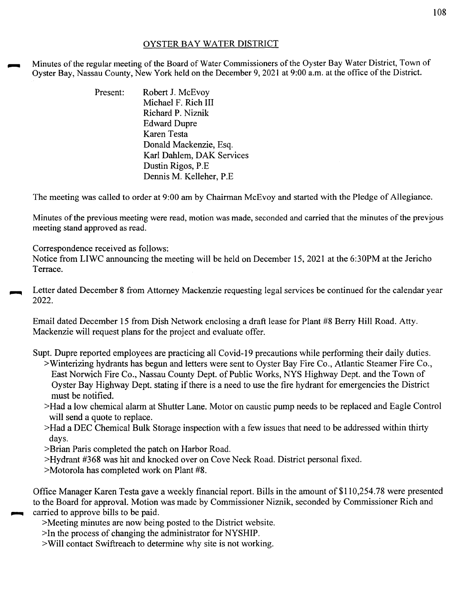## OYSTER BAY WATER DISTRICT

Minutes of the regular meeting of the Board of Water Commissioners of the Oyster Bay Water District, Town of Oyster Bay, Nassau County, New York held on the December 9, 2021 at 9:00 a.m. at the office of the District.

> Present: Robert J. McEvov Michael F. Rich III Richard P. Niznik Edward Dupre Karen Testa Donald Mackenzie, Esq. Karl Dahlem, DAK Services Dustin Rigos, P.E Dennis M. Kelleher, P.E

The meeting was called to order at 9:00 am by Chairman McEvoy and started with the Pledge of Allegiance.

Minutes of the previous meeting were read, motion was made, seconded and carried that the minutes of the previous meeting stand approved as read.

Correspondence received as follows:

Notice from LIWC announcing the meeting will be held on December 15, 2021 at the 6:30PM at the Jericho Terrace.

Letter dated December 8 from Attorney Mackenzie requesting legal services be continued for the calendar year 2022.

Email dated December 15 from Dish Network enclosing a draft lease for Plant #8 Berry Hill Road. Atty. Mackenzie will request plans for the project and evaluate offer.

Supt. Dupre reported employees are practicing all Covid-19 precautions while performing their daily duties.

- >Winterizing hydrants has begun and letters were sent to Oyster Bay Fire Co., Atlantic Steamer Fire Co., East Norwich Fire Co., Nassau County Dept. of Public Works, NYS Highway Dept. and the Town of Oyster Bay Highway Dept. stating if there is a need to use the fire hydrant for emergencies the District must be notified.
- >Had a low chemical alarm at Shutter Lane. Motor on caustic pump needs to be replaced and Eagle Control will send a quote to replace.
- >Had a DEC Chemical Bulk Storage inspection with a few issues that need to be addressed within thirty days.
- >Brian Paris completed the patch on Harbor Road.
- >Hydrant #368 was hit and knocked over on Cove Neck Road. District personal fixed.
- >Motorola has completed work on Plant #8.

Office Manager Karen Testa gave a weekly financial report. Bills in the amount of \$110,254.78 were presented to the Board for approval. Motion was made by Commissioner Niznik, seconded by Commissioner Rich and carried to approve bills to be paid.

>Meeting minutes are now being posted to the District website.

>In the process of changing the administrator for NYSHIP.

>Will contact Swiftreach to determine why site is not working.